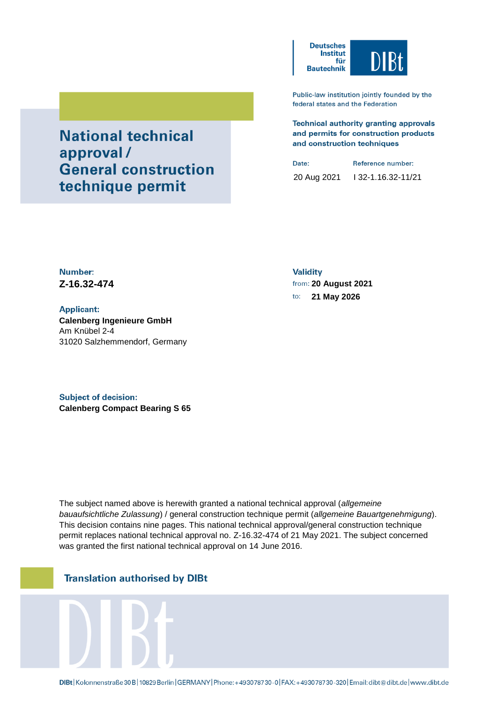

Public-law institution jointly founded by the federal states and the Federation

**Technical authority granting approvals** and permits for construction products and construction techniques

Date: Reference number: 20 Aug 2021 I 32-1.16.32-11/21

Number: **Z-16.32-474 20 August 2021**

**Applicant: Calenberg Ingenieure GmbH** Am Knübel 2-4 31020 Salzhemmendorf, Germany

**National technical** 

technique permit

**General construction** 

approval/

**Subject of decision: Calenberg Compact Bearing S 65** **Validity** 

to: **21 May 2026**

The subject named above is herewith granted a national technical approval (*allgemeine bauaufsichtliche Zulassung*) / general construction technique permit (*allgemeine Bauartgenehmigung*). This decision contains nine pages. This national technical approval/general construction technique permit replaces national technical approval no. Z-16.32-474 of 21 May 2021. The subject concerned was granted the first national technical approval on 14 June 2016.

# **Translation authorised by DIBt**

DIBt | Kolonnenstraße 30 B | 10829 Berlin | GERMANY | Phone: +493078730-0 | FAX: +493078730-320 | Email: dibt@dibt.de | www.dibt.de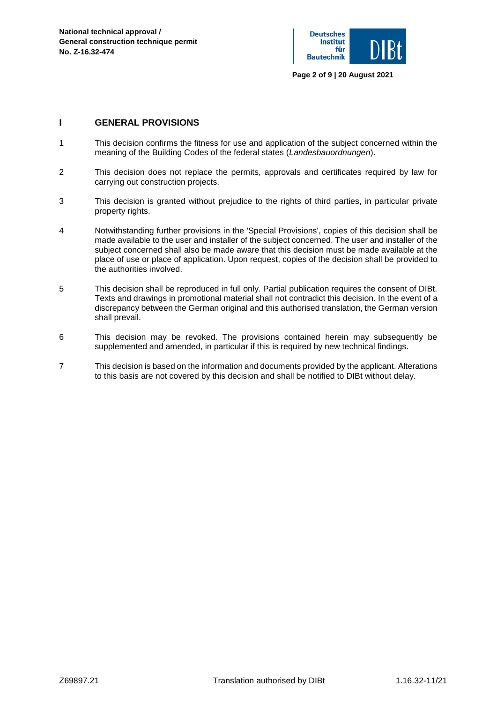

## **I GENERAL PROVISIONS**

- 1 This decision confirms the fitness for use and application of the subject concerned within the meaning of the Building Codes of the federal states (*Landesbauordnungen*).
- 2 This decision does not replace the permits, approvals and certificates required by law for carrying out construction projects.
- 3 This decision is granted without prejudice to the rights of third parties, in particular private property rights.
- 4 Notwithstanding further provisions in the 'Special Provisions', copies of this decision shall be made available to the user and installer of the subject concerned. The user and installer of the subject concerned shall also be made aware that this decision must be made available at the place of use or place of application. Upon request, copies of the decision shall be provided to the authorities involved.
- 5 This decision shall be reproduced in full only. Partial publication requires the consent of DIBt. Texts and drawings in promotional material shall not contradict this decision. In the event of a discrepancy between the German original and this authorised translation, the German version shall prevail.
- 6 This decision may be revoked. The provisions contained herein may subsequently be supplemented and amended, in particular if this is required by new technical findings.
- 7 This decision is based on the information and documents provided by the applicant. Alterations to this basis are not covered by this decision and shall be notified to DIBt without delay.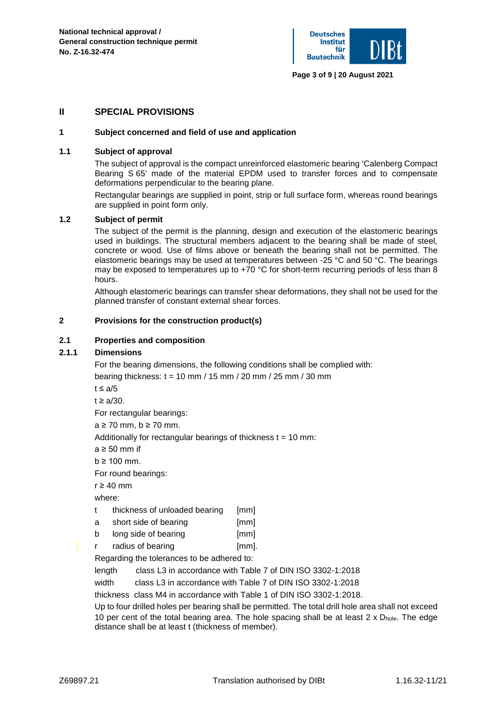

## **II SPECIAL PROVISIONS**

### **1 Subject concerned and field of use and application**

## **1.1 Subject of approval**

The subject of approval is the compact unreinforced elastomeric bearing 'Calenberg Compact Bearing S 65' made of the material EPDM used to transfer forces and to compensate deformations perpendicular to the bearing plane.

Rectangular bearings are supplied in point, strip or full surface form, whereas round bearings are supplied in point form only.

## **1.2 Subject of permit**

The subject of the permit is the planning, design and execution of the elastomeric bearings used in buildings. The structural members adjacent to the bearing shall be made of steel, concrete or wood. Use of films above or beneath the bearing shall not be permitted. The elastomeric bearings may be used at temperatures between -25 °C and 50 °C. The bearings may be exposed to temperatures up to  $+70$  °C for short-term recurring periods of less than 8 hours.

Although elastomeric bearings can transfer shear deformations, they shall not be used for the planned transfer of constant external shear forces.

### **2 Provisions for the construction product(s)**

### **2.1 Properties and composition**

## **2.1.1 Dimensions**

For the bearing dimensions, the following conditions shall be complied with:

bearing thickness:  $t = 10$  mm / 15 mm / 20 mm / 25 mm / 30 mm

- $t \leq a/5$
- $t \ge a/30$ .

For rectangular bearings:

a ≥ 70 mm, b ≥ 70 mm.

Additionally for rectangular bearings of thickness  $t = 10$  mm:

a ≥ 50 mm if

 $b \ge 100$  mm.

For round bearings:

 $r \geq 40$  mm

where:

- t thickness of unloaded bearing [mm]
- a short side of bearing [mm]
- b long side of bearing [mm]
- r radius of bearing in the fimm.

Regarding the tolerances to be adhered to:

length class L3 in accordance with Table 7 of DIN ISO 3302-1:2018

width class L3 in accordance with Table 7 of DIN ISO 3302-1:2018

thickness class M4 in accordance with Table 1 of DIN ISO 3302-1:2018.

Up to four drilled holes per bearing shall be permitted. The total drill hole area shall not exceed 10 per cent of the total bearing area. The hole spacing shall be at least  $2 \times D_{\text{hole}}$ . The edge distance shall be at least t (thickness of member).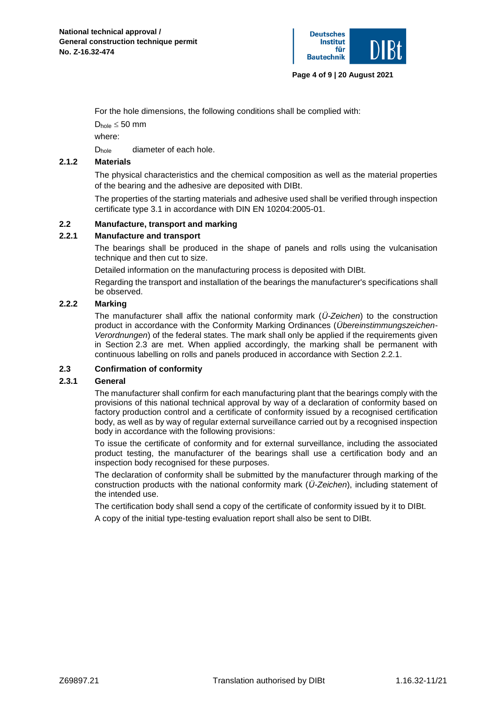

For the hole dimensions, the following conditions shall be complied with:

 $D_{hole} \leq 50$  mm

where:

D<sub>hole</sub> diameter of each hole.

## **2.1.2 Materials**

The physical characteristics and the chemical composition as well as the material properties of the bearing and the adhesive are deposited with DIBt.

The properties of the starting materials and adhesive used shall be verified through inspection certificate type 3.1 in accordance with DIN EN 10204:2005-01.

## **2.2 Manufacture, transport and marking**

### **2.2.1 Manufacture and transport**

The bearings shall be produced in the shape of panels and rolls using the vulcanisation technique and then cut to size.

Detailed information on the manufacturing process is deposited with DIBt.

Regarding the transport and installation of the bearings the manufacturer's specifications shall be observed.

## **2.2.2 Marking**

The manufacturer shall affix the national conformity mark (*Ü-Zeichen*) to the construction product in accordance with the Conformity Marking Ordinances (*Übereinstimmungszeichen-Verordnungen*) of the federal states. The mark shall only be applied if the requirements given in Section 2.3 are met. When applied accordingly, the marking shall be permanent with continuous labelling on rolls and panels produced in accordance with Section 2.2.1.

## **2.3 Confirmation of conformity**

## **2.3.1 General**

The manufacturer shall confirm for each manufacturing plant that the bearings comply with the provisions of this national technical approval by way of a declaration of conformity based on factory production control and a certificate of conformity issued by a recognised certification body, as well as by way of regular external surveillance carried out by a recognised inspection body in accordance with the following provisions:

To issue the certificate of conformity and for external surveillance, including the associated product testing, the manufacturer of the bearings shall use a certification body and an inspection body recognised for these purposes.

The declaration of conformity shall be submitted by the manufacturer through marking of the construction products with the national conformity mark (*Ü-Zeichen*), including statement of the intended use.

The certification body shall send a copy of the certificate of conformity issued by it to DIBt.

A copy of the initial type-testing evaluation report shall also be sent to DIBt.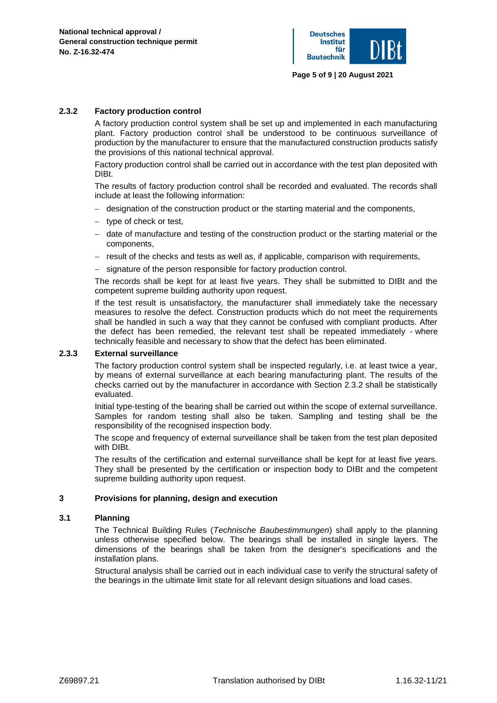

### **2.3.2 Factory production control**

A factory production control system shall be set up and implemented in each manufacturing plant. Factory production control shall be understood to be continuous surveillance of production by the manufacturer to ensure that the manufactured construction products satisfy the provisions of this national technical approval.

Factory production control shall be carried out in accordance with the test plan deposited with DIBt.

The results of factory production control shall be recorded and evaluated. The records shall include at least the following information:

- − designation of the construction product or the starting material and the components,
- − type of check or test,
- − date of manufacture and testing of the construction product or the starting material or the components,
- − result of the checks and tests as well as, if applicable, comparison with requirements,
- − signature of the person responsible for factory production control.

The records shall be kept for at least five years. They shall be submitted to DIBt and the competent supreme building authority upon request.

If the test result is unsatisfactory, the manufacturer shall immediately take the necessary measures to resolve the defect. Construction products which do not meet the requirements shall be handled in such a way that they cannot be confused with compliant products. After the defect has been remedied, the relevant test shall be repeated immediately - where technically feasible and necessary to show that the defect has been eliminated.

#### **2.3.3 External surveillance**

The factory production control system shall be inspected regularly, i.e. at least twice a year, by means of external surveillance at each bearing manufacturing plant. The results of the checks carried out by the manufacturer in accordance with Section 2.3.2 shall be statistically evaluated.

Initial type-testing of the bearing shall be carried out within the scope of external surveillance. Samples for random testing shall also be taken. Sampling and testing shall be the responsibility of the recognised inspection body.

The scope and frequency of external surveillance shall be taken from the test plan deposited with DIBt.

The results of the certification and external surveillance shall be kept for at least five years. They shall be presented by the certification or inspection body to DIBt and the competent supreme building authority upon request.

### **3 Provisions for planning, design and execution**

#### **3.1 Planning**

The Technical Building Rules (*Technische Baubestimmungen*) shall apply to the planning unless otherwise specified below. The bearings shall be installed in single layers. The dimensions of the bearings shall be taken from the designer's specifications and the installation plans.

Structural analysis shall be carried out in each individual case to verify the structural safety of the bearings in the ultimate limit state for all relevant design situations and load cases.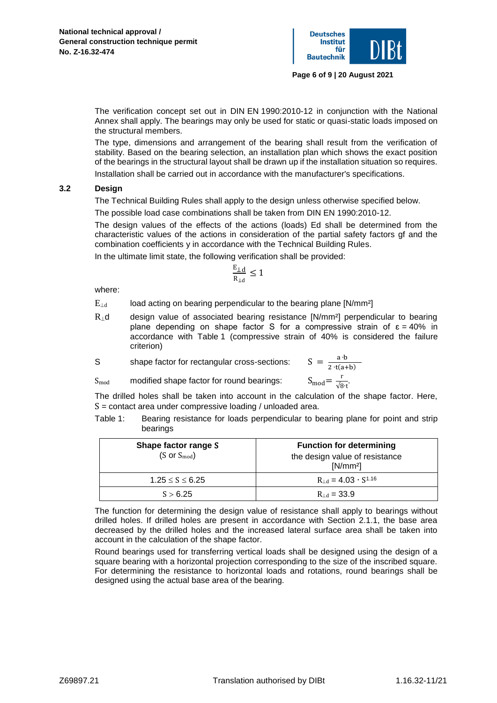

The verification concept set out in DIN EN 1990:2010-12 in conjunction with the National Annex shall apply. The bearings may only be used for static or quasi-static loads imposed on the structural members.

The type, dimensions and arrangement of the bearing shall result from the verification of stability. Based on the bearing selection, an installation plan which shows the exact position of the bearings in the structural layout shall be drawn up if the installation situation so requires.

Installation shall be carried out in accordance with the manufacturer's specifications.

### **3.2 Design**

The Technical Building Rules shall apply to the design unless otherwise specified below.

The possible load case combinations shall be taken from DIN EN 1990:2010-12.

The design values of the effects of the actions (loads) Ed shall be determined from the characteristic values of the actions in consideration of the partial safety factors gf and the combination coefficients y in accordance with the Technical Building Rules.

In the ultimate limit state, the following verification shall be provided:

$$
\frac{E_{\perp d}}{R_{\perp d}} \leq 1
$$

where:

 $E_{\text{Ld}}$  load acting on bearing perpendicular to the bearing plane [N/mm<sup>2</sup>]

R⊥d design value of associated bearing resistance [N/mm²] perpendicular to bearing plane depending on shape factor S for a compressive strain of  $\varepsilon = 40\%$  in accordance with Table 1 (compressive strain of 40% is considered the failure criterion)

S shape factor for rectangular cross-sections: S

 $S_{\text{mod}}$  modified shape factor for round bearings:  $S_{\text{mod}}$ 

$$
= \frac{a \cdot b}{2 \cdot t(a+b)}
$$
  
mod =  $\frac{r}{\sqrt{8 \cdot t}}$ .

The drilled holes shall be taken into account in the calculation of the shape factor. Here,  $S =$  contact area under compressive loading / unloaded area.

Table 1: Bearing resistance for loads perpendicular to bearing plane for point and strip bearings

| Shape factor range S<br>$(S \text{ or } S_{\text{mod}})$ | <b>Function for determining</b><br>the design value of resistance<br>$[N/mm^2]$ |
|----------------------------------------------------------|---------------------------------------------------------------------------------|
| $1.25 \le S \le 6.25$                                    | $R_{\perp d} = 4.03 \cdot S^{1.16}$                                             |
| S > 6.25                                                 | $R_{\perp d} = 33.9$                                                            |

The function for determining the design value of resistance shall apply to bearings without drilled holes. If drilled holes are present in accordance with Section 2.1.1, the base area decreased by the drilled holes and the increased lateral surface area shall be taken into account in the calculation of the shape factor.

Round bearings used for transferring vertical loads shall be designed using the design of a square bearing with a horizontal projection corresponding to the size of the inscribed square. For determining the resistance to horizontal loads and rotations, round bearings shall be designed using the actual base area of the bearing.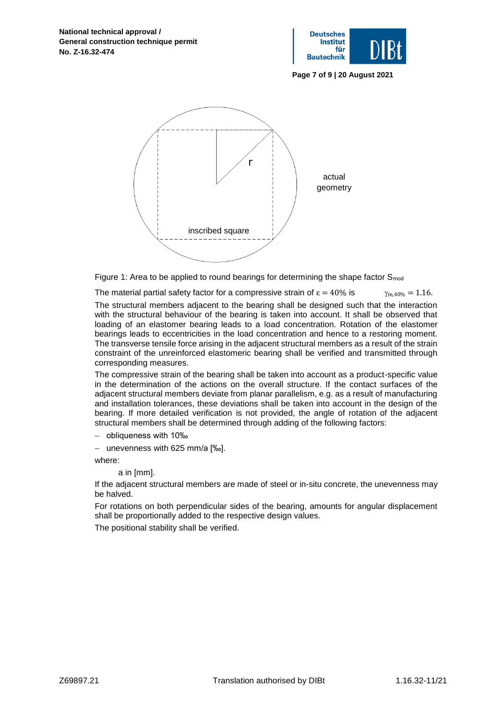

**Page 7 of 9 | 20 August 2021**



Figure 1: Area to be applied to round bearings for determining the shape factor  $S_{mod}$ 

The material partial safety factor for a compressive strain of  $\varepsilon = 40\%$  is  $\gamma_{m,40\%} = 1.16$ .

The structural members adjacent to the bearing shall be designed such that the interaction with the structural behaviour of the bearing is taken into account. It shall be observed that loading of an elastomer bearing leads to a load concentration. Rotation of the elastomer bearings leads to eccentricities in the load concentration and hence to a restoring moment. The transverse tensile force arising in the adjacent structural members as a result of the strain constraint of the unreinforced elastomeric bearing shall be verified and transmitted through corresponding measures.

The compressive strain of the bearing shall be taken into account as a product-specific value in the determination of the actions on the overall structure. If the contact surfaces of the adjacent structural members deviate from planar parallelism, e.g. as a result of manufacturing and installation tolerances, these deviations shall be taken into account in the design of the bearing. If more detailed verification is not provided, the angle of rotation of the adjacent structural members shall be determined through adding of the following factors:

− obliqueness with 10‰

− unevenness with 625 mm/a [‰].

where:

a in [mm].

If the adjacent structural members are made of steel or in-situ concrete, the unevenness may be halved.

For rotations on both perpendicular sides of the bearing, amounts for angular displacement shall be proportionally added to the respective design values.

The positional stability shall be verified.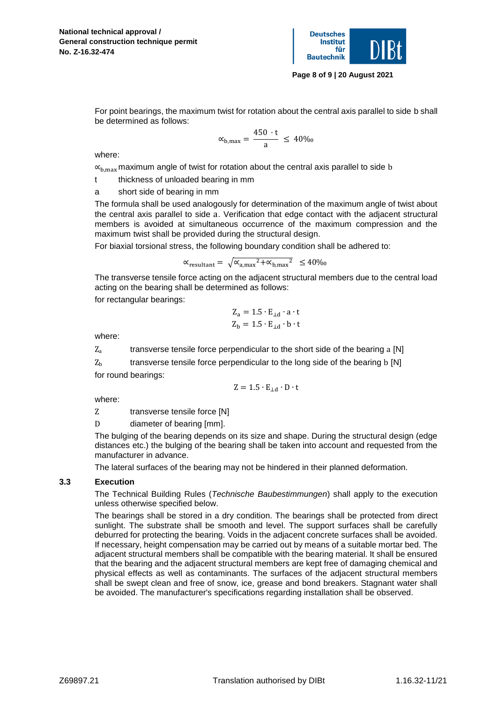

**Page 8 of 9 | 20 August 2021**

For point bearings, the maximum twist for rotation about the central axis parallel to side b shall be determined as follows:

$$
\alpha_{b,max}=\frac{450 \cdot t}{a} \,\leq\, 40\%
$$

where:

 $\alpha_{\text{b,max}}$  maximum angle of twist for rotation about the central axis parallel to side b

t thickness of unloaded bearing in mm

a short side of bearing in mm

The formula shall be used analogously for determination of the maximum angle of twist about the central axis parallel to side a. Verification that edge contact with the adjacent structural members is avoided at simultaneous occurrence of the maximum compression and the maximum twist shall be provided during the structural design.

For biaxial torsional stress, the following boundary condition shall be adhered to:

$$
\alpha_{\text{resultant}} = \sqrt{\alpha_{a,\text{max}}^2 + \alpha_{b,\text{max}}^2} \le 40\%
$$

The transverse tensile force acting on the adjacent structural members due to the central load acting on the bearing shall be determined as follows:

for rectangular bearings:

$$
Z_a = 1.5 \cdot E_{\perp d} \cdot a \cdot t
$$

$$
Z_b = 1.5 \cdot E_{\perp d} \cdot b \cdot t
$$

where:

 $Z_a$  transverse tensile force perpendicular to the short side of the bearing a [N]

 $Z<sub>b</sub>$  transverse tensile force perpendicular to the long side of the bearing b [N] for round bearings:

$$
Z=1.5\cdot E_{\perp d}\cdot D\cdot t
$$

where:

Z transverse tensile force [N]

D diameter of bearing [mm].

The bulging of the bearing depends on its size and shape. During the structural design (edge distances etc.) the bulging of the bearing shall be taken into account and requested from the manufacturer in advance.

The lateral surfaces of the bearing may not be hindered in their planned deformation.

## **3.3 Execution**

The Technical Building Rules (*Technische Baubestimmungen*) shall apply to the execution unless otherwise specified below.

The bearings shall be stored in a dry condition. The bearings shall be protected from direct sunlight. The substrate shall be smooth and level. The support surfaces shall be carefully deburred for protecting the bearing. Voids in the adjacent concrete surfaces shall be avoided. If necessary, height compensation may be carried out by means of a suitable mortar bed. The adjacent structural members shall be compatible with the bearing material. It shall be ensured that the bearing and the adjacent structural members are kept free of damaging chemical and physical effects as well as contaminants. The surfaces of the adjacent structural members shall be swept clean and free of snow, ice, grease and bond breakers. Stagnant water shall be avoided. The manufacturer's specifications regarding installation shall be observed.